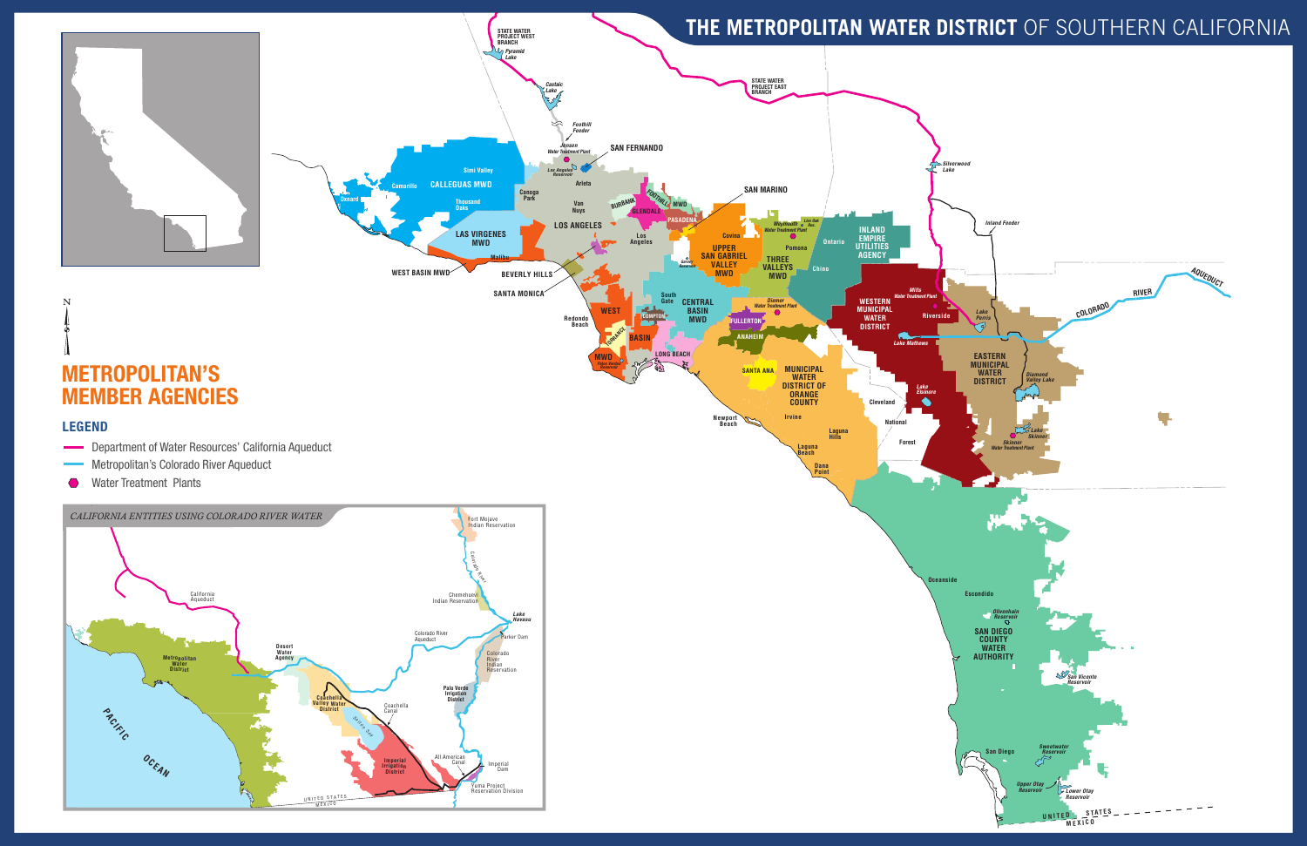